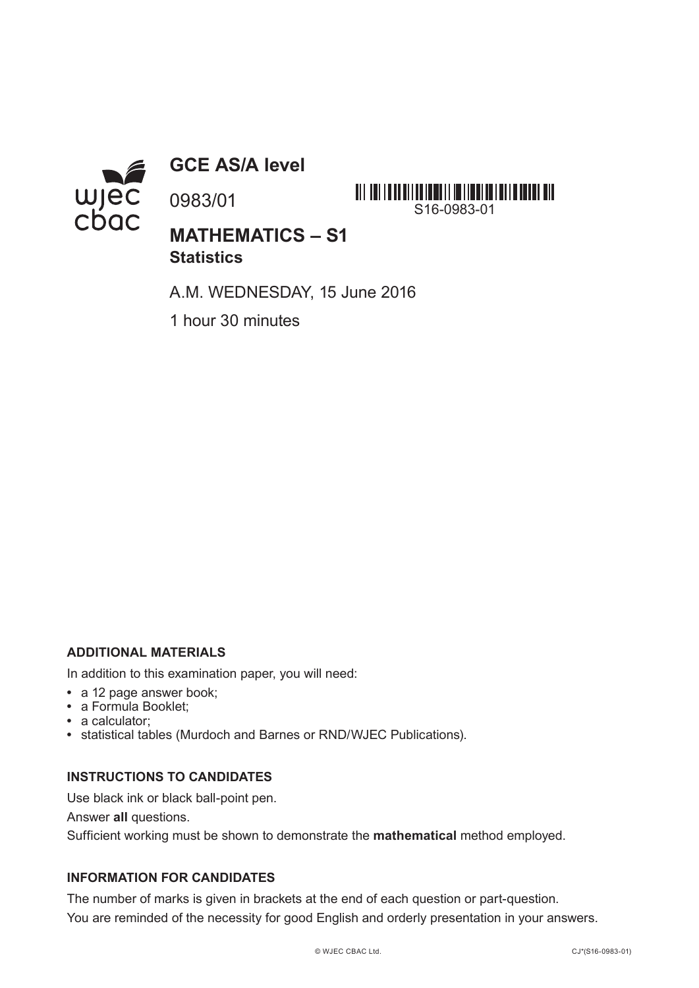

**GCE AS/A level**

0983/01



**MATHEMATICS – S1 Statistics**

A.M. WEDNESDAY, 15 June 2016

1 hour 30 minutes

## **ADDITIONAL MATERIALS**

In addition to this examination paper, you will need:

- **•** a 12 page answer book;
- **•** a Formula Booklet;
- **•** a calculator;
- **•** statistical tables (Murdoch and Barnes or RND/WJEC Publications).

## **INSTRUCTIONS TO CANDIDATES**

Use black ink or black ball-point pen.

Answer **all** questions.

Sufficient working must be shown to demonstrate the **mathematical** method employed.

## **INFORMATION FOR CANDIDATES**

The number of marks is given in brackets at the end of each question or part-question. You are reminded of the necessity for good English and orderly presentation in your answers.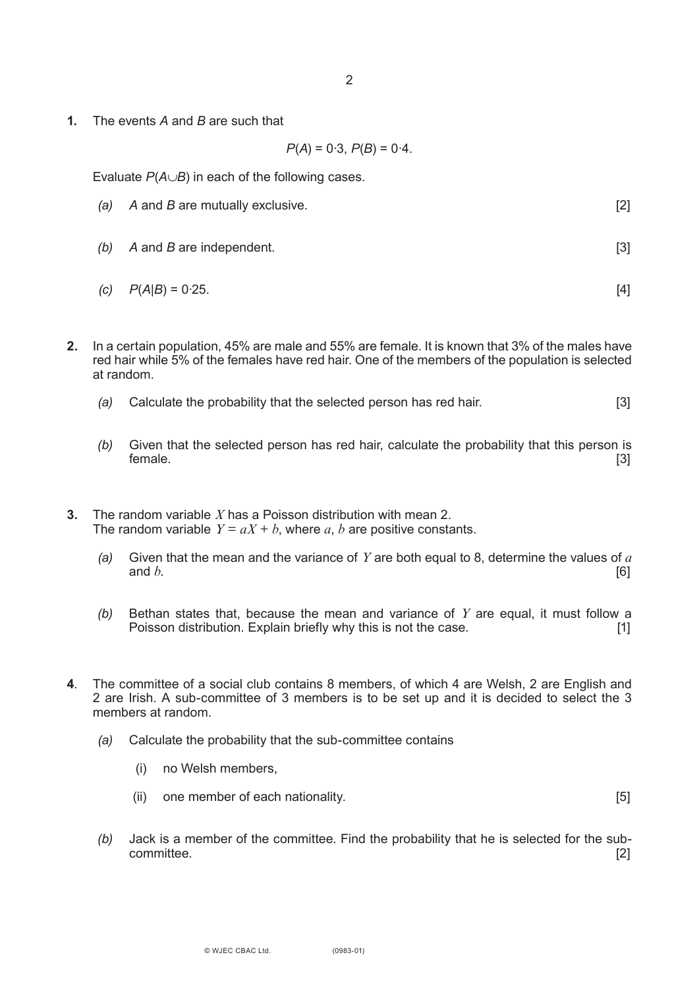**1.** The events *A* and *B* are such that

$$
P(A) = 0.3, P(B) = 0.4.
$$

Evaluate *P*(*A*∪*B*) in each of the following cases.

- *(a) A* and *B* are mutually exclusive. [2]
- *(b) A* and *B* are independent. [3]

(c) 
$$
P(A|B) = 0.25
$$
. [4]

- **2.** In a certain population, 45% are male and 55% are female. It is known that 3% of the males have red hair while 5% of the females have red hair. One of the members of the population is selected at random.
	- *(a)* Calculate the probability that the selected person has red hair. [3]
	- *(b)* Given that the selected person has red hair, calculate the probability that this person is female. [3]
- **3.** The random variable *X* has a Poisson distribution with mean 2. The random variable  $Y = aX + b$ , where *a*, *b* are positive constants.
	- *(a)* Given that the mean and the variance of *Y* are both equal to 8, determine the values of *a* and  $b$ . [6]
	- *(b)* Bethan states that, because the mean and variance of *Y* are equal, it must follow a Poisson distribution. Explain briefly why this is not the case. [1]
- **4**. The committee of a social club contains 8 members, of which 4 are Welsh, 2 are English and 2 are Irish. A sub-committee of 3 members is to be set up and it is decided to select the 3 members at random.
	- *(a)* Calculate the probability that the sub-committee contains
		- (i) no Welsh members,
		- (ii) one member of each nationality. [5]
	- *(b)* Jack is a member of the committee. Find the probability that he is selected for the subcommittee. [2]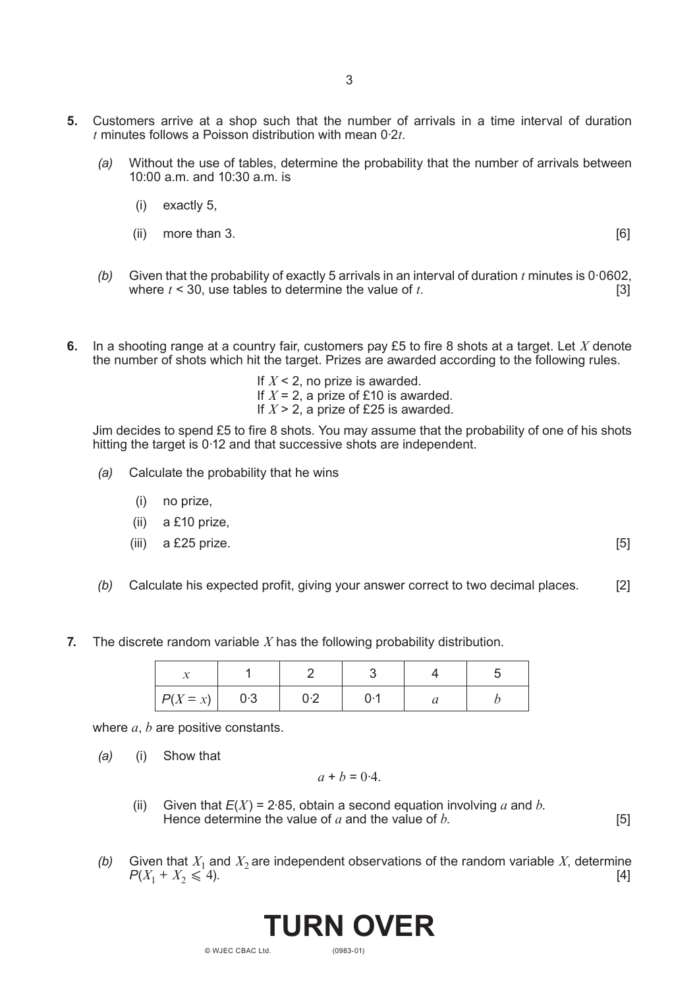- **5.** Customers arrive at a shop such that the number of arrivals in a time interval of duration *t* minutes follows a Poisson distribution with mean 0·2*t*.
	- *(a)* Without the use of tables, determine the probability that the number of arrivals between 10:00 a.m. and 10:30 a.m. is
		- (i) exactly 5,
		- $(i)$  more than 3.  $[6]$

- *(b)* Given that the probability of exactly 5 arrivals in an interval of duration *t* minutes is 0·0602, where  $t < 30$ , use tables to determine the value of  $t$ .
- **6.** In a shooting range at a country fair, customers pay £5 to fire 8 shots at a target. Let *X* denote the number of shots which hit the target. Prizes are awarded according to the following rules.

If  $X \leq 2$ , no prize is awarded. If  $X = 2$ , a prize of £10 is awarded.

If  $X > 2$ , a prize of £25 is awarded.

Jim decides to spend £5 to fire 8 shots. You may assume that the probability of one of his shots hitting the target is 0·12 and that successive shots are independent.

- *(a)* Calculate the probability that he wins
	- (i) no prize,
	- (ii) a £10 prize,
	- (iii) a £25 prize.  $[5]$

- *(b)* Calculate his expected profit, giving your answer correct to two decimal places. [2]
- **7.** The discrete random variable *X* has the following probability distribution.

| $P(X = x)$ | 0.3 | 0.2 |  |  |
|------------|-----|-----|--|--|

where *a*, *b* are positive constants.

*(a)* (i) Show that

$$
a + b = 0.4.
$$

- (ii) Given that  $E(X) = 2.85$ , obtain a second equation involving *a* and *b*. Hence determine the value of  $a$  and the value of  $b$ .  $\qquad \qquad$  [5]
- *(b)* Given that  $X_1$  and  $X_2$  are independent observations of the random variable *X*, determine  $P(X_1 + X_2 \le 4)$ .  $P(X_1 + X_2 \leq 4)$ .

(0983-01)

**TURN OVER**